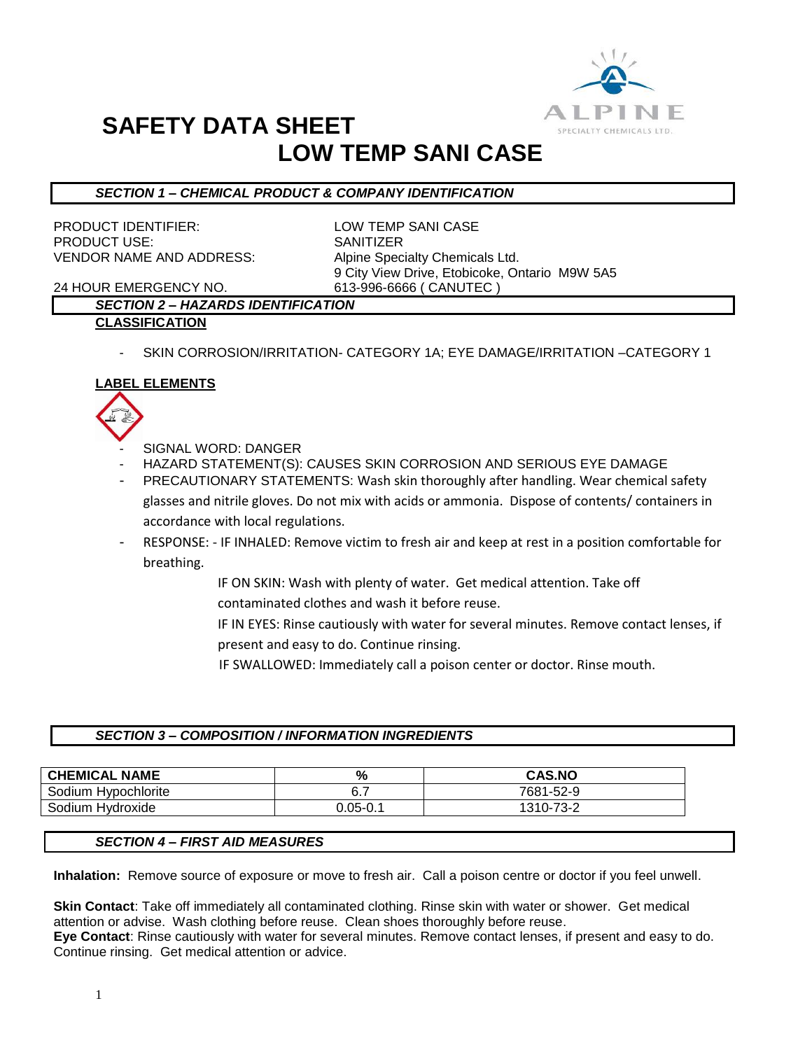

## **SAFETY DATA SHEET LOW TEMP SANI CASE**

#### *SECTION 1 – CHEMICAL PRODUCT & COMPANY IDENTIFICATION*

PRODUCT IDENTIFIER: LOW TEMP SANI CASE PRODUCT USE: SANITIZER VENDOR NAME AND ADDRESS: Alpine Specialty Chemicals Ltd.

9 City View Drive, Etobicoke, Ontario M9W 5A5

24 HOUR EMERGENCY NO. 613-996-6666 ( CANUTEC )

### *SECTION 2 – HAZARDS IDENTIFICATION*

- **CLASSIFICATION**
	- SKIN CORROSION/IRRITATION- CATEGORY 1A; EYE DAMAGE/IRRITATION -CATEGORY 1

#### **LABEL ELEMENTS**



- SIGNAL WORD: DANGER
- HAZARD STATEMENT(S): CAUSES SKIN CORROSION AND SERIOUS EYE DAMAGE
- PRECAUTIONARY STATEMENTS: Wash skin thoroughly after handling. Wear chemical safety glasses and nitrile gloves. Do not mix with acids or ammonia. Dispose of contents/ containers in accordance with local regulations.
- RESPONSE: IF INHALED: Remove victim to fresh air and keep at rest in a position comfortable for breathing.
	- IF ON SKIN: Wash with plenty of water. Get medical attention. Take off contaminated clothes and wash it before reuse.
	- IF IN EYES: Rinse cautiously with water for several minutes. Remove contact lenses, if present and easy to do. Continue rinsing.
	- IF SWALLOWED: Immediately call a poison center or doctor. Rinse mouth.

#### *SECTION 3 – COMPOSITION / INFORMATION INGREDIENTS*

| <b>CHEMICAL NAME</b> | %            | <b>CAS.NO</b> |
|----------------------|--------------|---------------|
| Sodium Hypochlorite  | 6.7          | 7681-52-9     |
| Sodium Hydroxide     | $0.05 - 0.1$ | 1310-73-2     |

#### *SECTION 4 – FIRST AID MEASURES*

**Inhalation:** Remove source of exposure or move to fresh air. Call a poison centre or doctor if you feel unwell.

**Skin Contact**: Take off immediately all contaminated clothing. Rinse skin with water or shower. Get medical attention or advise. Wash clothing before reuse. Clean shoes thoroughly before reuse. **Eye Contact**: Rinse cautiously with water for several minutes. Remove contact lenses, if present and easy to do. Continue rinsing. Get medical attention or advice.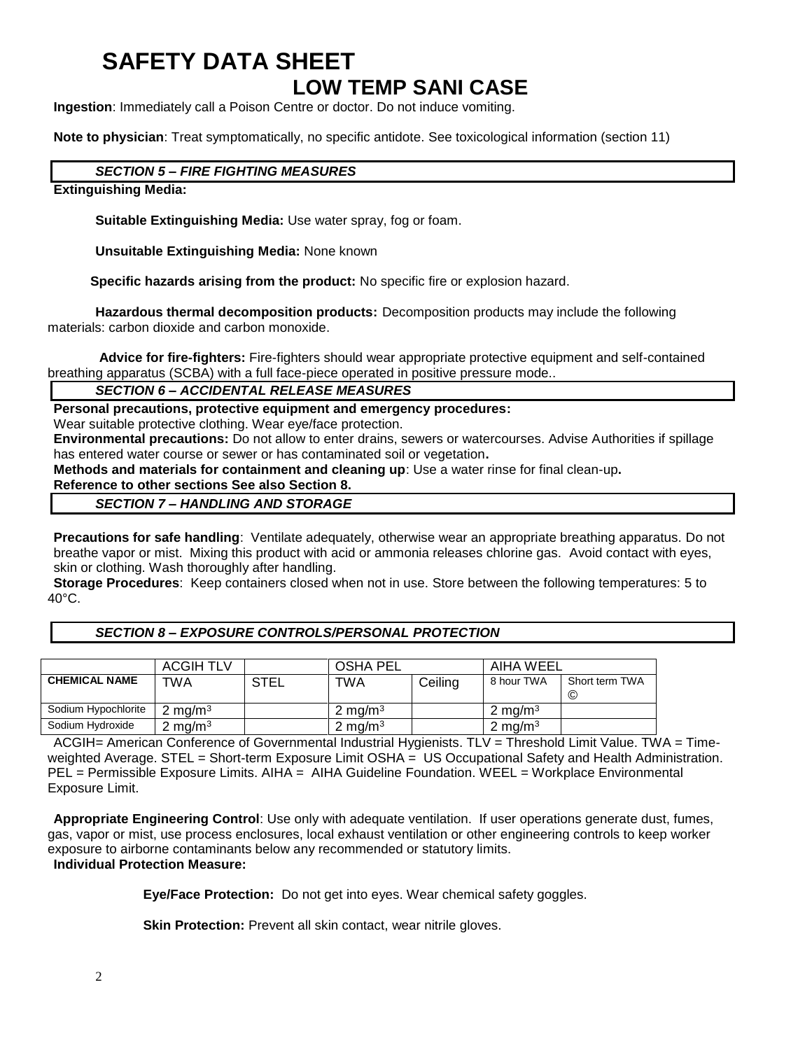## **SAFETY DATA SHEET LOW TEMP SANI CASE**

**Ingestion**: Immediately call a Poison Centre or doctor. Do not induce vomiting.

**Note to physician**: Treat symptomatically, no specific antidote. See toxicological information (section 11)

#### *SECTION 5 – FIRE FIGHTING MEASURES*

#### **Extinguishing Media:**

**Suitable Extinguishing Media:** Use water spray, fog or foam.

**Unsuitable Extinguishing Media:** None known

 **Specific hazards arising from the product:** No specific fire or explosion hazard.

**Hazardous thermal decomposition products:** Decomposition products may include the following materials: carbon dioxide and carbon monoxide.

**Advice for fire-fighters:** Fire-fighters should wear appropriate protective equipment and self-contained breathing apparatus (SCBA) with a full face-piece operated in positive pressure mode..

#### *SECTION 6 – ACCIDENTAL RELEASE MEASURES*

**Personal precautions, protective equipment and emergency procedures:**

Wear suitable protective clothing. Wear eye/face protection.

**Environmental precautions:** Do not allow to enter drains, sewers or watercourses. Advise Authorities if spillage has entered water course or sewer or has contaminated soil or vegetation**.** 

**Methods and materials for containment and cleaning up**: Use a water rinse for final clean-up**.** 

### **Reference to other sections See also Section 8.**

*SECTION 7 – HANDLING AND STORAGE*

**Precautions for safe handling**: Ventilate adequately, otherwise wear an appropriate breathing apparatus. Do not breathe vapor or mist. Mixing this product with acid or ammonia releases chlorine gas. Avoid contact with eyes, skin or clothing. Wash thoroughly after handling.

**Storage Procedures**: Keep containers closed when not in use. Store between the following temperatures: 5 to 40°C.

#### *SECTION 8 – EXPOSURE CONTROLS/PERSONAL PROTECTION*

|                      | <b>ACGIH TLV</b>   |             | <b>OSHA PEL</b>    |         | AIHA WEEL          |                      |
|----------------------|--------------------|-------------|--------------------|---------|--------------------|----------------------|
| <b>CHEMICAL NAME</b> | TWA                | <b>STEL</b> | <b>TWA</b>         | Ceiling | 8 hour TWA         | Short term TWA<br>C) |
| Sodium Hypochlorite  | $2 \text{ mg/m}^3$ |             | $2 \text{ mg/m}^3$ |         | $2 \text{ ma/m}^3$ |                      |
| Sodium Hydroxide     | 2 mg/m $^3$        |             | 2 mg/m $3$         |         | 2 mg/m $3$         |                      |

ACGIH= American Conference of Governmental Industrial Hygienists. TLV = Threshold Limit Value. TWA = Timeweighted Average. STEL = Short-term Exposure Limit OSHA = US Occupational Safety and Health Administration. PEL = Permissible Exposure Limits. AIHA = AIHA Guideline Foundation. WEEL = Workplace Environmental Exposure Limit.

**Appropriate Engineering Control**: Use only with adequate ventilation. If user operations generate dust, fumes, gas, vapor or mist, use process enclosures, local exhaust ventilation or other engineering controls to keep worker exposure to airborne contaminants below any recommended or statutory limits. **Individual Protection Measure:**

**Eye/Face Protection:** Do not get into eyes. Wear chemical safety goggles.

**Skin Protection:** Prevent all skin contact, wear nitrile gloves.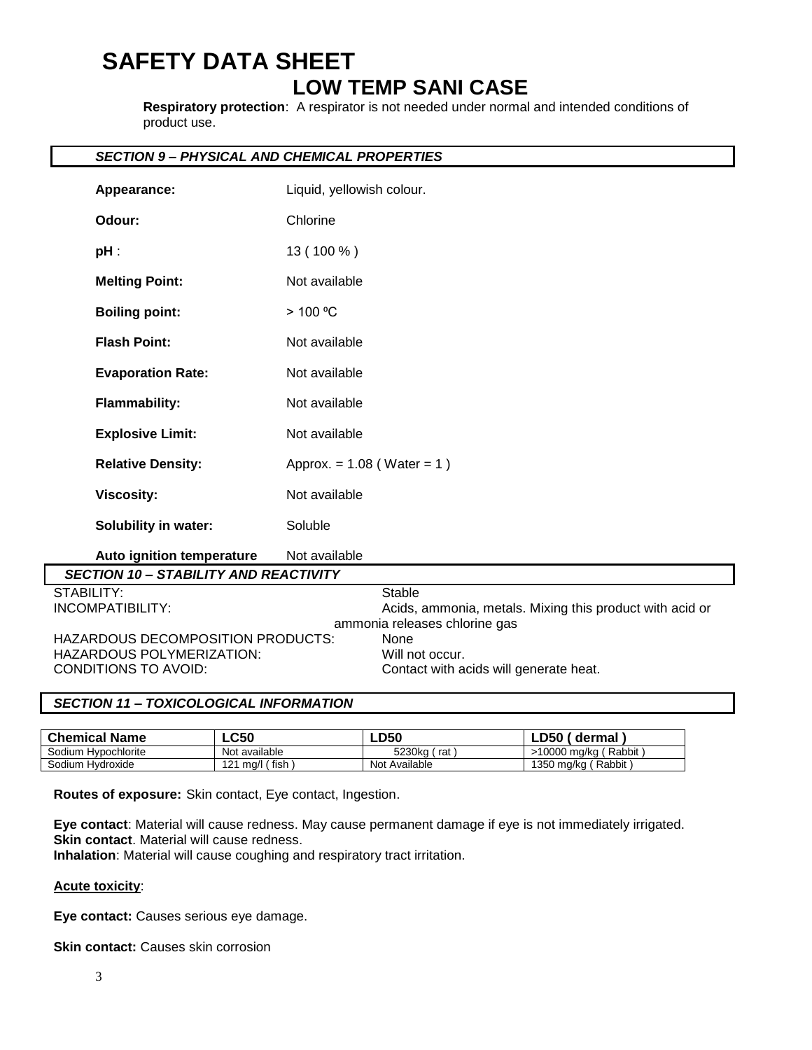# **SAFETY DATA SHEET LOW TEMP SANI CASE**

**Respiratory protection**: A respirator is not needed under normal and intended conditions of product use.

### *SECTION 9 – PHYSICAL AND CHEMICAL PROPERTIES*

| Appearance:                                  | Liquid, yellowish colour.                                                                 |  |  |  |  |  |
|----------------------------------------------|-------------------------------------------------------------------------------------------|--|--|--|--|--|
| Odour:                                       | Chlorine                                                                                  |  |  |  |  |  |
| $pH$ :                                       | 13 (100 %)                                                                                |  |  |  |  |  |
| <b>Melting Point:</b>                        | Not available                                                                             |  |  |  |  |  |
| <b>Boiling point:</b>                        | > 100 °C                                                                                  |  |  |  |  |  |
| <b>Flash Point:</b>                          | Not available                                                                             |  |  |  |  |  |
| <b>Evaporation Rate:</b>                     | Not available                                                                             |  |  |  |  |  |
| <b>Flammability:</b>                         | Not available                                                                             |  |  |  |  |  |
| <b>Explosive Limit:</b>                      | Not available                                                                             |  |  |  |  |  |
| <b>Relative Density:</b>                     | Approx. = $1.08$ (Water = $1)$ )                                                          |  |  |  |  |  |
| <b>Viscosity:</b>                            | Not available                                                                             |  |  |  |  |  |
| <b>Solubility in water:</b>                  | Soluble                                                                                   |  |  |  |  |  |
| Auto ignition temperature                    | Not available                                                                             |  |  |  |  |  |
| <b>SECTION 10 - STABILITY AND REACTIVITY</b> |                                                                                           |  |  |  |  |  |
| <b>STABILITY:</b>                            | <b>Stable</b>                                                                             |  |  |  |  |  |
| <b>INCOMPATIBILITY:</b>                      | Acids, ammonia, metals. Mixing this product with acid or<br>ammonia releases chlorine gas |  |  |  |  |  |
| <b>HAZARDOUS DECOMPOSITION PRODUCTS:</b>     | None                                                                                      |  |  |  |  |  |
| HAZARDOUS POLYMERIZATION:                    | Will not occur.                                                                           |  |  |  |  |  |
| <b>CONDITIONS TO AVOID:</b>                  | Contact with acids will generate heat.                                                    |  |  |  |  |  |

#### *SECTION 11 – TOXICOLOGICAL INFORMATION*

| <b>Chemical Name</b> | <b>LC50</b>                | <b>LD50</b>   | LD50_<br>dermal       |
|----------------------|----------------------------|---------------|-----------------------|
| Sodium Hypochlorite  | Not available              | 5230ka<br>rat | >10000 ma/ka ( Rabbit |
| Sodium Hydroxide     | mg/l (fish<br>1 7 1<br>▎∠▏ | Not Available | 1350 mg/kg (Rabbit)   |

**Routes of exposure:** Skin contact, Eye contact, Ingestion.

**Eye contact**: Material will cause redness. May cause permanent damage if eye is not immediately irrigated. **Skin contact.** Material will cause redness.

**Inhalation**: Material will cause coughing and respiratory tract irritation.

#### **Acute toxicity**:

**Eye contact:** Causes serious eye damage.

**Skin contact:** Causes skin corrosion